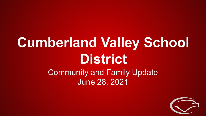## **Cumberland Valley School District**

### Community and Family Update June 28, 2021

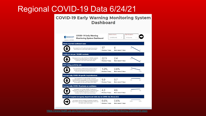#### Regional COVID-19 Data 6/24/21

#### **COVID-19 Early Warning Monitoring System Dashboard**



<https://www.health.pa.gov/topics/disease/coronavirus/Pages/Monitoring-Dashboard.aspx>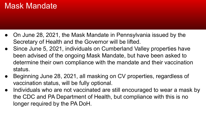#### Mask Mandate

- On June 28, 2021, the Mask Mandate in Pennsylvania issued by the Secretary of Health and the Governor will be lifted.
- Since June 5, 2021, individuals on Cumberland Valley properties have been advised of the ongoing Mask Mandate, but have been asked to determine their own compliance with the mandate and their vaccination status.
- Beginning June 28, 2021, all masking on CV properties, regardless of vaccination status, will be fully optional.
- Individuals who are not vaccinated are still encouraged to wear a mask by the CDC and PA Department of Health, but compliance with this is no longer required by the PA DoH.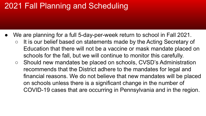#### 2021 Fall Planning and Scheduling

- We are planning for a full 5-day-per-week return to school in Fall 2021.
	- It is our belief based on statements made by the Acting Secretary of Education that there will not be a vaccine or mask mandate placed on schools for the fall, but we will continue to monitor this carefully.
	- Should new mandates be placed on schools, CVSD's Administration recommends that the District adhere to the mandates for legal and financial reasons. We do not believe that new mandates will be placed on schools unless there is a significant change in the number of COVID-19 cases that are occurring in Pennsylvania and in the region.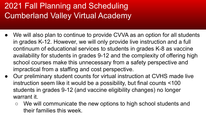### 2021 Fall Planning and Scheduling Cumberland Valley Virtual Academy

- We will also plan to continue to provide CVVA as an option for all students in grades K-12. However, we will only provide live instruction and a full continuum of educational services to students in grades K-8 as vaccine availability for students in grades 9-12 and the complexity of offering high school courses make this unnecessary from a safety perspective and impractical from a staffing and cost perspective.
- Our preliminary student counts for virtual instruction at CVHS made live instruction seem like it would be a possibility, but final counts <100 students in grades 9-12 (and vaccine eligibility changes) no longer warrant it.
	- We will communicate the new options to high school students and their families this week.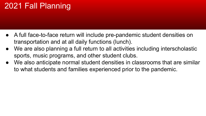### 2021 Fall Planning

- A full face-to-face return will include pre-pandemic student densities on transportation and at all daily functions (lunch).
- We are also planning a full return to all activities including interscholastic sports, music programs, and other student clubs.
- We also anticipate normal student densities in classrooms that are similar to what students and families experienced prior to the pandemic.